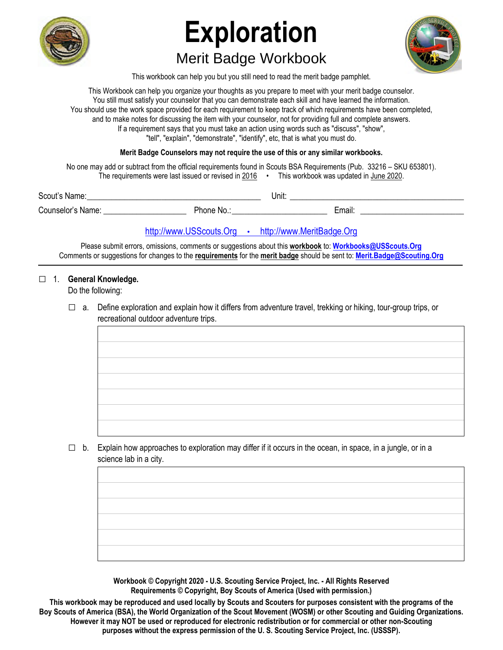

# **Exploration**

# Merit Badge Workbook



This workbook can help you but you still need to read the merit badge pamphlet.

This Workbook can help you organize your thoughts as you prepare to meet with your merit badge counselor. You still must satisfy your counselor that you can demonstrate each skill and have learned the information. You should use the work space provided for each requirement to keep track of which requirements have been completed, and to make notes for discussing the item with your counselor, not for providing full and complete answers. If a requirement says that you must take an action using words such as "discuss", "show", "tell", "explain", "demonstrate", "identify", etc, that is what you must do.

#### **Merit Badge Counselors may not require the use of this or any similar workbooks.**

No one may add or subtract from the official requirements found in Scouts BSA Requirements (Pub. 33216 – SKU 653801). The requirements were last issued or revised in  $2016$  · This workbook was updated in June 2020.

| Scout's<br>⊧Name: |          | Unit: |        |
|-------------------|----------|-------|--------|
| Counselor's Name: | Phone No |       | ∃mail: |

### http://www.USScouts.Org • http://www.MeritBadge.Org

Please submit errors, omissions, comments or suggestions about this **workbook** to: **Workbooks@USScouts.Org** Comments or suggestions for changes to the **requirements** for the **merit badge** should be sent to: **Merit.Badge@Scouting.Org**

#### □ 1. **General Knowledge.**

Do the following:

 $\Box$  a. Define exploration and explain how it differs from adventure travel, trekking or hiking, tour-group trips, or recreational outdoor adventure trips.

 $\square$  b. Explain how approaches to exploration may differ if it occurs in the ocean, in space, in a jungle, or in a science lab in a city.

> **Workbook © Copyright 2020 - U.S. Scouting Service Project, Inc. - All Rights Reserved Requirements © Copyright, Boy Scouts of America (Used with permission.)**

**This workbook may be reproduced and used locally by Scouts and Scouters for purposes consistent with the programs of the Boy Scouts of America (BSA), the World Organization of the Scout Movement (WOSM) or other Scouting and Guiding Organizations. However it may NOT be used or reproduced for electronic redistribution or for commercial or other non-Scouting purposes without the express permission of the U. S. Scouting Service Project, Inc. (USSSP).**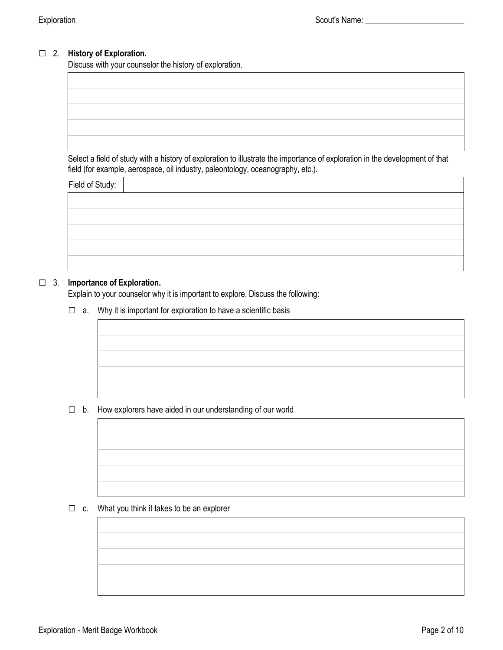### □ 2. **History of Exploration.**

Discuss with your counselor the history of exploration.

 Select a field of study with a history of exploration to illustrate the importance of exploration in the development of that field (for example, aerospace, oil industry, paleontology, oceanography, etc.).

Field of Study:



### □ 3. **Importance of Exploration.**

Explain to your counselor why it is important to explore. Discuss the following:

 $\Box$  a. Why it is important for exploration to have a scientific basis

 $\square$  b. How explorers have aided in our understanding of our world

 $\Box$  c. What you think it takes to be an explorer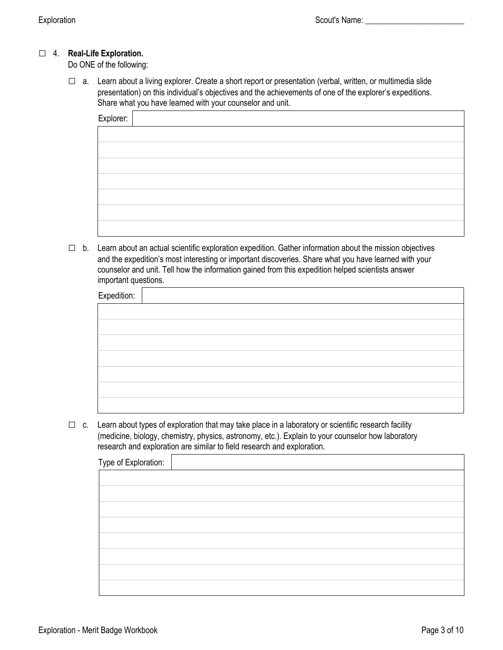# □ 4. **Real-Life Exploration.**

Do ONE of the following:

□ a. Learn about a living explorer. Create a short report or presentation (verbal, written, or multimedia slide presentation) on this individual's objectives and the achievements of one of the explorer's expeditions. Share what you have learned with your counselor and unit.

| Explorer: |  |
|-----------|--|
|           |  |
|           |  |
|           |  |
|           |  |
|           |  |
|           |  |
|           |  |

 $\Box$  b. Learn about an actual scientific exploration expedition. Gather information about the mission objectives and the expedition's most interesting or important discoveries. Share what you have learned with your counselor and unit. Tell how the information gained from this expedition helped scientists answer important questions.

| Expedition: |  |
|-------------|--|
|             |  |
|             |  |
|             |  |
|             |  |
|             |  |
|             |  |
|             |  |

 $\Box$  c. Learn about types of exploration that may take place in a laboratory or scientific research facility (medicine, biology, chemistry, physics, astronomy, etc.). Explain to your counselor how laboratory research and exploration are similar to field research and exploration.

| Type of Exploration: |  |
|----------------------|--|
|                      |  |
|                      |  |
|                      |  |
|                      |  |
|                      |  |
|                      |  |
|                      |  |
|                      |  |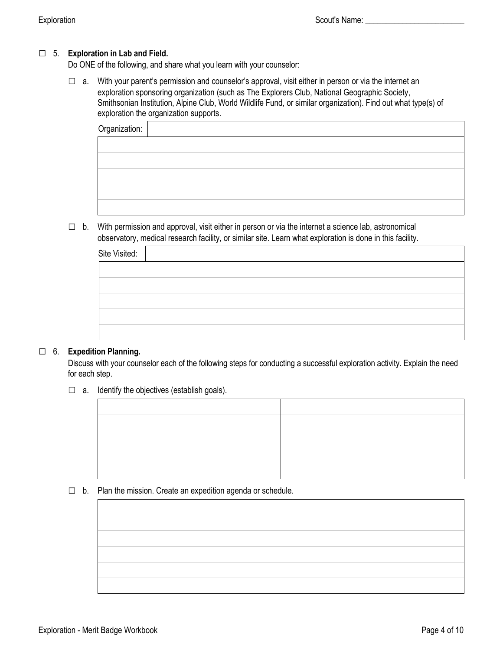### □ 5. **Exploration in Lab and Field.**

Do ONE of the following, and share what you learn with your counselor:

 $\square$  a. With your parent's permission and counselor's approval, visit either in person or via the internet an exploration sponsoring organization (such as The Explorers Club, National Geographic Society, Smithsonian Institution, Alpine Club, World Wildlife Fund, or similar organization). Find out what type(s) of exploration the organization supports.

| Organization: |  |
|---------------|--|
|               |  |
|               |  |
|               |  |
|               |  |
|               |  |

 $\Box$  b. With permission and approval, visit either in person or via the internet a science lab, astronomical observatory, medical research facility, or similar site. Learn what exploration is done in this facility.

| Site Visited: |  |  |  |
|---------------|--|--|--|
|               |  |  |  |
|               |  |  |  |
|               |  |  |  |
|               |  |  |  |
|               |  |  |  |

#### □ 6. **Expedition Planning.**

Discuss with your counselor each of the following steps for conducting a successful exploration activity. Explain the need for each step.

 $\Box$  a. Identify the objectives (establish goals).

#### $\Box$  b. Plan the mission. Create an expedition agenda or schedule.

| <u> 1989 - Johann Harry Harry Harry Harry Harry Harry Harry Harry Harry Harry Harry Harry Harry Harry Harry Harry</u> |  |  |
|-----------------------------------------------------------------------------------------------------------------------|--|--|
|                                                                                                                       |  |  |
| ,我们也不会有什么?""我们的人,我们也不会有什么?""我们的人,我们也不会有什么?""我们的人,我们也不会有什么?""我们的人,我们也不会有什么?""我们的人                                      |  |  |
|                                                                                                                       |  |  |
| ,我们也不会有什么?""我们的人,我们也不会有什么?""我们的人,我们也不会有什么?""我们的人,我们也不会有什么?""我们的人,我们也不会有什么?""我们的人                                      |  |  |
|                                                                                                                       |  |  |
| ,我们也不会不会不会。""我们的,我们也不会不会不会。""我们的,我们也不会不会不会不会。""我们的,我们也不会不会不会不会。""我们的,我们也不会不会不会不会                                      |  |  |
|                                                                                                                       |  |  |
|                                                                                                                       |  |  |
|                                                                                                                       |  |  |
| ,我们也不会有什么?""我们的人,我们也不会不会不会。""我们的人,我们也不会不会不会不会。""我们的人,我们也不会不会不会不会。""我们的人,我们也不会不会不                                      |  |  |
|                                                                                                                       |  |  |
|                                                                                                                       |  |  |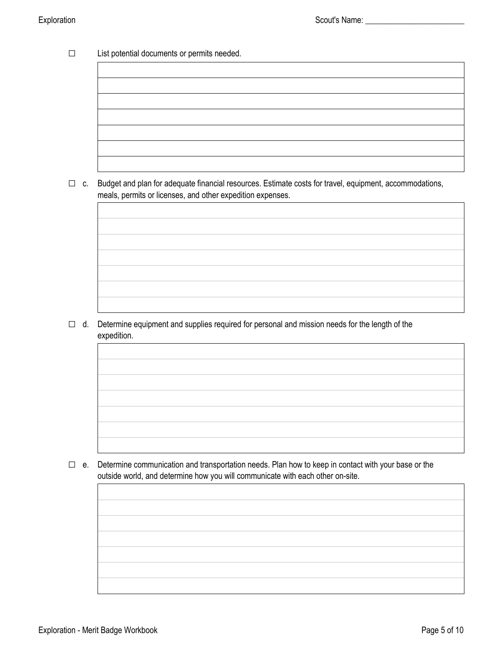□ List potential documents or permits needed.

□ c. Budget and plan for adequate financial resources. Estimate costs for travel, equipment, accommodations, meals, permits or licenses, and other expedition expenses.

 $\Box$  d. Determine equipment and supplies required for personal and mission needs for the length of the expedition.

□ e. Determine communication and transportation needs. Plan how to keep in contact with your base or the outside world, and determine how you will communicate with each other on-site.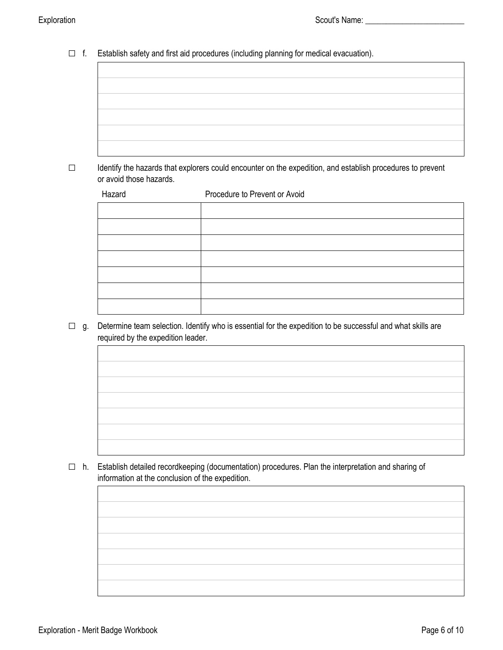□ f. Establish safety and first aid procedures (including planning for medical evacuation).

□ Identify the hazards that explorers could encounter on the expedition, and establish procedures to prevent or avoid those hazards.

| Hazard | Procedure to Prevent or Avoid |
|--------|-------------------------------|
|        |                               |
|        |                               |
|        |                               |
|        |                               |
|        |                               |
|        |                               |
|        |                               |

 $\Box$  g. Determine team selection. Identify who is essential for the expedition to be successful and what skills are required by the expedition leader.

□ h. Establish detailed recordkeeping (documentation) procedures. Plan the interpretation and sharing of information at the conclusion of the expedition.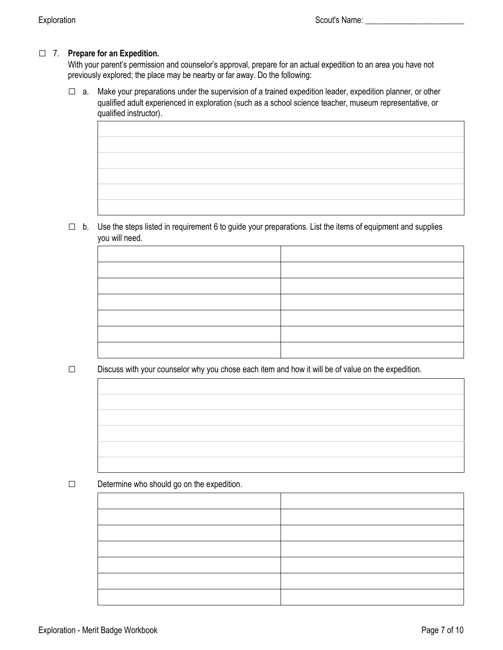## □ 7. **Prepare for an Expedition.**

With your parent's permission and counselor's approval, prepare for an actual expedition to an area you have not previously explored; the place may be nearby or far away. Do the following:

□ a. Make your preparations under the supervision of a trained expedition leader, expedition planner, or other qualified adult experienced in exploration (such as a school science teacher, museum representative, or qualified instructor).

 $\Box$  b. Use the steps listed in requirement 6 to guide your preparations. List the items of equipment and supplies you will need.

□ Discuss with your counselor why you chose each item and how it will be of value on the expedition.

| the control of the control of the control of the control of the control of<br>the control of the control of the control of the control of the control of<br>the control of the control of the control of the control of the control of<br>the control of the control of the control of the control of the control of the control of the control of the control of the control of the control of the control of the control of the control of the control of the control |  |
|-------------------------------------------------------------------------------------------------------------------------------------------------------------------------------------------------------------------------------------------------------------------------------------------------------------------------------------------------------------------------------------------------------------------------------------------------------------------------|--|
|                                                                                                                                                                                                                                                                                                                                                                                                                                                                         |  |
|                                                                                                                                                                                                                                                                                                                                                                                                                                                                         |  |
|                                                                                                                                                                                                                                                                                                                                                                                                                                                                         |  |
|                                                                                                                                                                                                                                                                                                                                                                                                                                                                         |  |
|                                                                                                                                                                                                                                                                                                                                                                                                                                                                         |  |
|                                                                                                                                                                                                                                                                                                                                                                                                                                                                         |  |
|                                                                                                                                                                                                                                                                                                                                                                                                                                                                         |  |
|                                                                                                                                                                                                                                                                                                                                                                                                                                                                         |  |
|                                                                                                                                                                                                                                                                                                                                                                                                                                                                         |  |
|                                                                                                                                                                                                                                                                                                                                                                                                                                                                         |  |
|                                                                                                                                                                                                                                                                                                                                                                                                                                                                         |  |
|                                                                                                                                                                                                                                                                                                                                                                                                                                                                         |  |
|                                                                                                                                                                                                                                                                                                                                                                                                                                                                         |  |
|                                                                                                                                                                                                                                                                                                                                                                                                                                                                         |  |
|                                                                                                                                                                                                                                                                                                                                                                                                                                                                         |  |
|                                                                                                                                                                                                                                                                                                                                                                                                                                                                         |  |
|                                                                                                                                                                                                                                                                                                                                                                                                                                                                         |  |
|                                                                                                                                                                                                                                                                                                                                                                                                                                                                         |  |
|                                                                                                                                                                                                                                                                                                                                                                                                                                                                         |  |
|                                                                                                                                                                                                                                                                                                                                                                                                                                                                         |  |
|                                                                                                                                                                                                                                                                                                                                                                                                                                                                         |  |
|                                                                                                                                                                                                                                                                                                                                                                                                                                                                         |  |
|                                                                                                                                                                                                                                                                                                                                                                                                                                                                         |  |
|                                                                                                                                                                                                                                                                                                                                                                                                                                                                         |  |
|                                                                                                                                                                                                                                                                                                                                                                                                                                                                         |  |
|                                                                                                                                                                                                                                                                                                                                                                                                                                                                         |  |
|                                                                                                                                                                                                                                                                                                                                                                                                                                                                         |  |
|                                                                                                                                                                                                                                                                                                                                                                                                                                                                         |  |
|                                                                                                                                                                                                                                                                                                                                                                                                                                                                         |  |
|                                                                                                                                                                                                                                                                                                                                                                                                                                                                         |  |
|                                                                                                                                                                                                                                                                                                                                                                                                                                                                         |  |
|                                                                                                                                                                                                                                                                                                                                                                                                                                                                         |  |
|                                                                                                                                                                                                                                                                                                                                                                                                                                                                         |  |
|                                                                                                                                                                                                                                                                                                                                                                                                                                                                         |  |
|                                                                                                                                                                                                                                                                                                                                                                                                                                                                         |  |
|                                                                                                                                                                                                                                                                                                                                                                                                                                                                         |  |
|                                                                                                                                                                                                                                                                                                                                                                                                                                                                         |  |
|                                                                                                                                                                                                                                                                                                                                                                                                                                                                         |  |
|                                                                                                                                                                                                                                                                                                                                                                                                                                                                         |  |
|                                                                                                                                                                                                                                                                                                                                                                                                                                                                         |  |
|                                                                                                                                                                                                                                                                                                                                                                                                                                                                         |  |
|                                                                                                                                                                                                                                                                                                                                                                                                                                                                         |  |
|                                                                                                                                                                                                                                                                                                                                                                                                                                                                         |  |
|                                                                                                                                                                                                                                                                                                                                                                                                                                                                         |  |
|                                                                                                                                                                                                                                                                                                                                                                                                                                                                         |  |
|                                                                                                                                                                                                                                                                                                                                                                                                                                                                         |  |
|                                                                                                                                                                                                                                                                                                                                                                                                                                                                         |  |

□ Determine who should go on the expedition.

| the control of the control of the control of the control of the control of the control of the control of the control of the control of the control of the control of the control of the control of the control of the control |  |
|-------------------------------------------------------------------------------------------------------------------------------------------------------------------------------------------------------------------------------|--|
|                                                                                                                                                                                                                               |  |
|                                                                                                                                                                                                                               |  |
|                                                                                                                                                                                                                               |  |
|                                                                                                                                                                                                                               |  |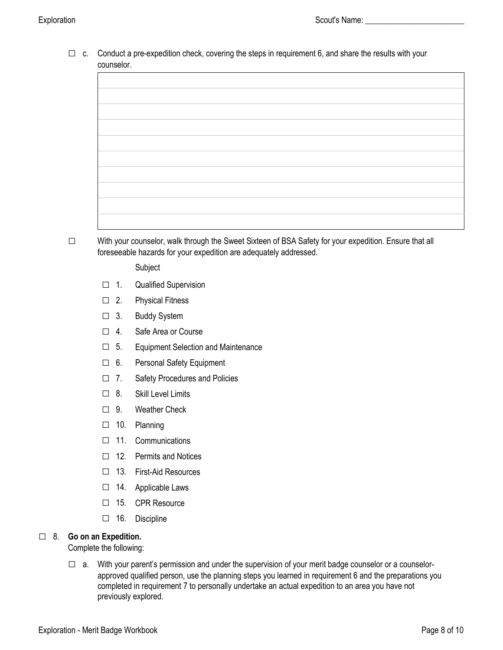$\Box$  c. Conduct a pre-expedition check, covering the steps in requirement 6, and share the results with your counselor.

□ With your counselor, walk through the Sweet Sixteen of BSA Safety for your expedition. Ensure that all foreseeable hazards for your expedition are adequately addressed.

Subject

- □ 1. Qualified Supervision
- □ 2. Physical Fitness
- □ 3. Buddy System
- □ 4. Safe Area or Course
- □ 5. Equipment Selection and Maintenance
- □ 6. Personal Safety Equipment
- □ 7. Safety Procedures and Policies
- □ 8. Skill Level Limits
- □ 9. Weather Check
- $\square$  10. Planning
- □ 11. Communications
- □ 12. Permits and Notices
- □ 13. First-Aid Resources
- □ 14. Applicable Laws
- □ 15. CPR Resource
- □ 16. Discipline

### □ 8. **Go on an Expedition.**

Complete the following:

 $\Box$  a. With your parent's permission and under the supervision of your merit badge counselor or a counselorapproved qualified person, use the planning steps you learned in requirement 6 and the preparations you completed in requirement 7 to personally undertake an actual expedition to an area you have not previously explored.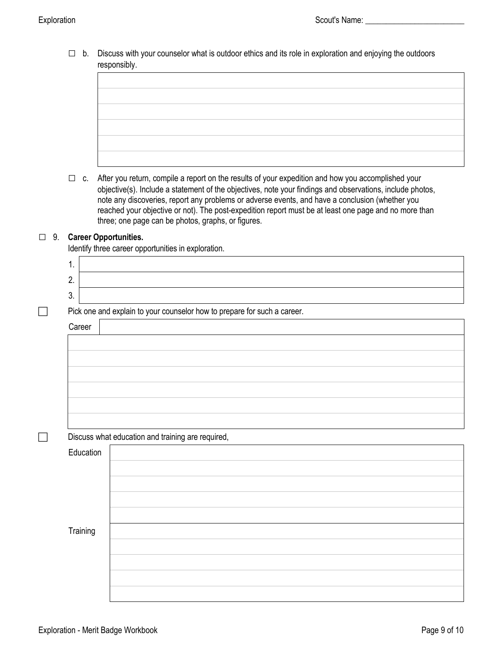□ b. Discuss with your counselor what is outdoor ethics and its role in exploration and enjoying the outdoors responsibly.

□ c. After you return, compile a report on the results of your expedition and how you accomplished your objective(s). Include a statement of the objectives, note your findings and observations, include photos, note any discoveries, report any problems or adverse events, and have a conclusion (whether you reached your objective or not). The post-expedition report must be at least one page and no more than three; one page can be photos, graphs, or figures.

#### □ 9. **Career Opportunities.**

Identify three career opportunities in exploration.

| Career    | Pick one and explain to your counselor how to prepare for such a career. |
|-----------|--------------------------------------------------------------------------|
|           |                                                                          |
|           |                                                                          |
|           |                                                                          |
|           |                                                                          |
|           |                                                                          |
|           |                                                                          |
|           |                                                                          |
|           | Discuss what education and training are required,                        |
| Education |                                                                          |
|           |                                                                          |
|           |                                                                          |
|           |                                                                          |
|           |                                                                          |
| Training  |                                                                          |